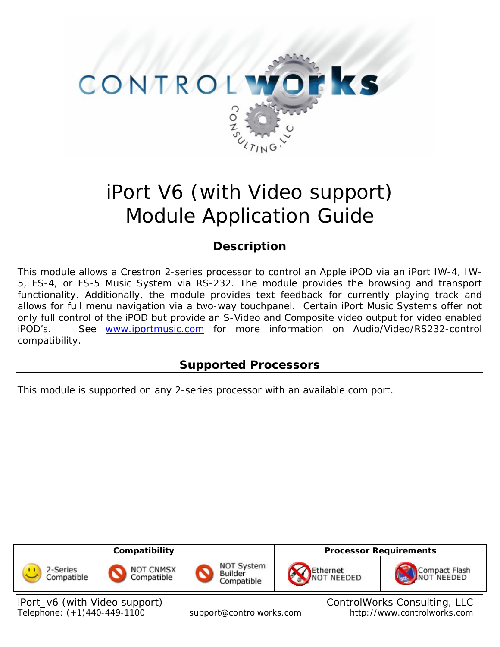

# iPort V6 (with Video support) Module Application Guide

# **Description**

This module allows a Crestron 2-series processor to control an Apple iPOD via an iPort IW-4, IW-5, FS-4, or FS-5 Music System via RS-232. The module provides the browsing and transport functionality. Additionally, the module provides text feedback for currently playing track and allows for full menu navigation via a two-way touchpanel. Certain iPort Music Systems offer not only full control of the iPOD but provide an S-Video and Composite video output for video enabled iPOD's. See [www.iportmusic.com](http://www.iportmusic.com/) for more information on Audio/Video/RS232-control compatibility.

# **Supported Processors**

This module is supported on any 2-series processor with an available com port.



iPort\_v6 (with Video support) and in the control Control Works Consulting, LLC Telephone: (+1)440-449-1100 support@controlworks.com http://www.controlworks.com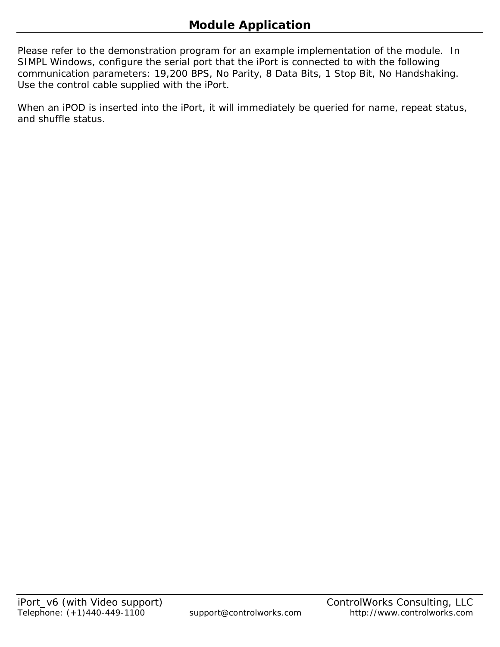Please refer to the demonstration program for an example implementation of the module. In SIMPL Windows, configure the serial port that the iPort is connected to with the following communication parameters: 19,200 BPS, No Parity, 8 Data Bits, 1 Stop Bit, No Handshaking. Use the control cable supplied with the iPort.

When an iPOD is inserted into the iPort, it will immediately be queried for name, repeat status, and shuffle status.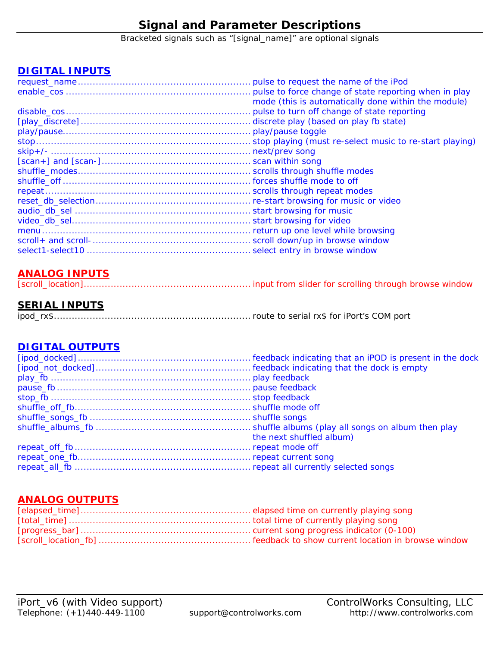# **Signal and Parameter Descriptions**

Bracketed signals such as "[signal\_name]" are optional signals

### **DIGITAL INPUTS**

| mode (this is automatically done within the module) |  |
|-----------------------------------------------------|--|
|                                                     |  |
|                                                     |  |
|                                                     |  |
|                                                     |  |
|                                                     |  |
|                                                     |  |
|                                                     |  |
|                                                     |  |
|                                                     |  |
|                                                     |  |
|                                                     |  |
|                                                     |  |
|                                                     |  |
|                                                     |  |
|                                                     |  |
|                                                     |  |
|                                                     |  |

### **ANALOG INPUTS**

|--|--|--|--|--|--|--|

### **SERIAL INPUTS**

|--|--|--|--|--|--|--|--|

### **DIGITAL OUTPUTS**

| the next shuffled album) |
|--------------------------|
|                          |
|                          |
|                          |
|                          |

### **ANALOG OUTPUTS**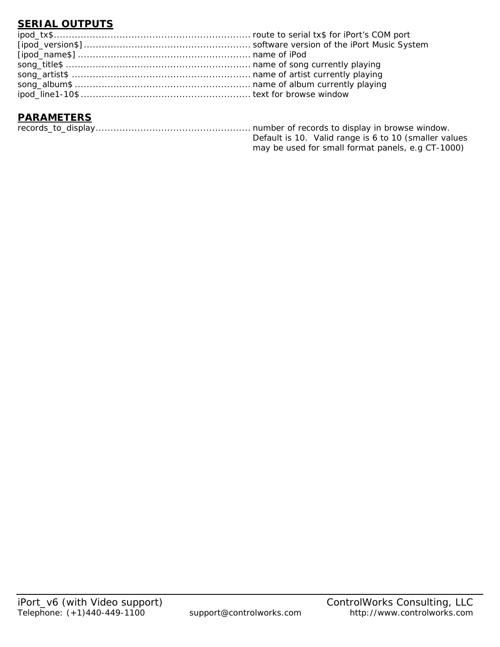# **SERIAL OUTPUTS**

### **PARAMETERS**

|  | Default is 10. Valid range is 6 to 10 (smaller values |  |
|--|-------------------------------------------------------|--|
|  | may be used for small format panels, e.g CT-1000)     |  |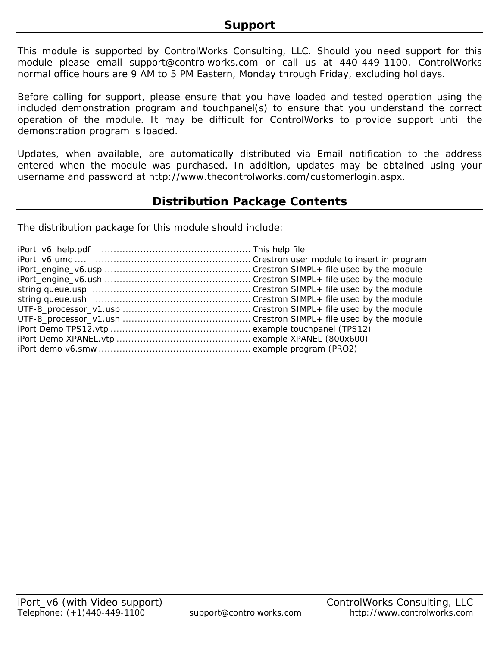This module is supported by ControlWorks Consulting, LLC. Should you need support for this module please email support@controlworks.com or call us at 440-449-1100. ControlWorks normal office hours are 9 AM to 5 PM Eastern, Monday through Friday, excluding holidays.

Before calling for support, please ensure that you have loaded and tested operation using the included demonstration program and touchpanel(s) to ensure that you understand the correct operation of the module. It may be difficult for ControlWorks to provide support until the demonstration program is loaded.

Updates, when available, are automatically distributed via Email notification to the address entered when the module was purchased. In addition, updates may be obtained using your username and password at http://www.thecontrolworks.com/customerlogin.aspx.

# **Distribution Package Contents**

The distribution package for this module should include: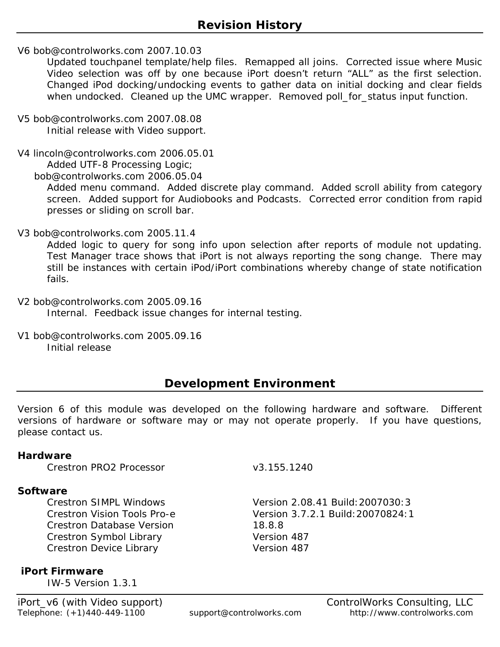V6 bob@controlworks.com 2007.10.03

Updated touchpanel template/help files. Remapped all joins. Corrected issue where Music Video selection was off by one because iPort doesn't return "ALL" as the first selection. Changed iPod docking/undocking events to gather data on initial docking and clear fields when undocked. Cleaned up the UMC wrapper. Removed poll\_for\_status input function.

V5 bob@controlworks.com 2007.08.08 Initial release with Video support.

V4 lincoln@controlworks.com 2006.05.01 Added UTF-8 Processing Logic;

bob@controlworks.com 2006.05.04

Added menu command. Added discrete play command. Added scroll ability from category screen. Added support for Audiobooks and Podcasts. Corrected error condition from rapid presses or sliding on scroll bar.

V3 bob@controlworks.com 2005.11.4

Added logic to query for song info upon selection after reports of module not updating. Test Manager trace shows that iPort is not always reporting the song change. There may still be instances with certain iPod/iPort combinations whereby change of state notification fails.

- V2 bob@controlworks.com 2005.09.16 Internal. Feedback issue changes for internal testing.
- V1 bob@controlworks.com 2005.09.16 Initial release

# **Development Environment**

Version 6 of this module was developed on the following hardware and software. Different versions of hardware or software may or may not operate properly. If you have questions, please contact us.

### **Hardware**

Crestron PRO2 Processor v3.155.1240

### **Software**

Crestron Database Version 18.8.8 Crestron Symbol Library Version 487 Crestron Device Library Version 487

Crestron SIMPL Windows Version 2.08.41 Build:2007030:3 Crestron Vision Tools Pro-e Version 3.7.2.1 Build:20070824:1

### **iPort Firmware**

IW-5 Version 1.3.1